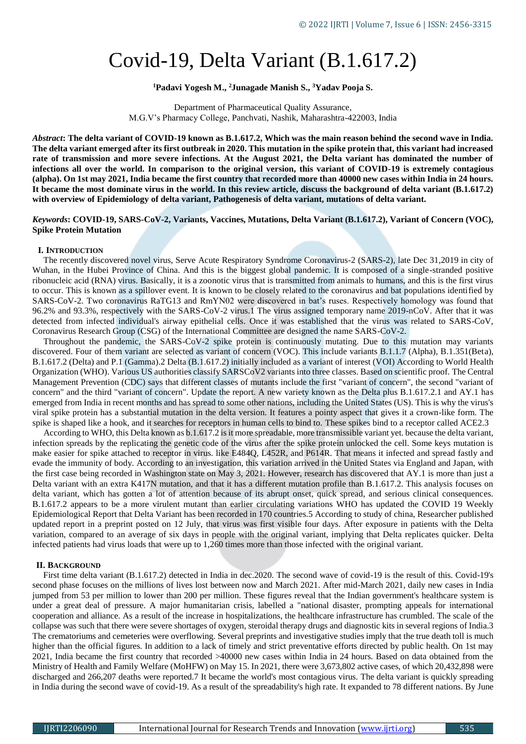# Covid-19, Delta Variant (B.1.617.2)

## **<sup>1</sup>Padavi Yogesh M., <sup>2</sup>Junagade Manish S., <sup>3</sup>Yadav Pooja S.**

Department of Pharmaceutical Quality Assurance, M.G.V's Pharmacy College, Panchvati, Nashik, Maharashtra-422003, India

*Abstract***: The delta variant of COVID-19 known as B.1.617.2, Which was the main reason behind the second wave in India. The delta variant emerged after its first outbreak in 2020. This mutation in the spike protein that, this variant had increased rate of transmission and more severe infections. At the August 2021, the Delta variant has dominated the number of infections all over the world. In comparison to the original version, this variant of COVID-19 is extremely contagious (alpha). On 1st may 2021, India became the first country that recorded more than 40000 new cases within India in 24 hours. It became the most dominate virus in the world. In this review article, discuss the background of delta variant (B.1.617.2) with overview of Epidemiology of delta variant, Pathogenesis of delta variant, mutations of delta variant.**

# *Keywords***: COVID-19, SARS-CoV-2, Variants, Vaccines, Mutations, Delta Variant (B.1.617.2), Variant of Concern (VOC), Spike Protein Mutation**

#### **I. INTRODUCTION**

 The recently discovered novel virus, Serve Acute Respiratory Syndrome Coronavirus-2 (SARS-2), late Dec 31,2019 in city of Wuhan, in the Hubei Province of China. And this is the biggest global pandemic. It is composed of a single-stranded positive ribonucleic acid (RNA) virus. Basically, it is a zoonotic virus that is transmitted from animals to humans, and this is the first virus to occur. This is known as a spillover event. It is known to be closely related to the coronavirus and bat populations identified by SARS-CoV-2. Two coronavirus RaTG13 and RmYN02 were discovered in bat's ruses. Respectively homology was found that 96.2% and 93.3%, respectively with the SARS-CoV-2 virus.1 The virus assigned temporary name 2019-nCoV. After that it was detected from infected individual's airway epithelial cells. Once it was established that the virus was related to SARS-CoV, Coronavirus Research Group (CSG) of the International Committee are designed the name SARS-CoV-2.

 Throughout the pandemic, the SARS-CoV-2 spike protein is continuously mutating. Due to this mutation may variants discovered. Four of them variant are selected as variant of concern (VOC). This include variants B.1.1.7 (Alpha), B.1.351(Beta), B.1.617.2 (Delta) and P.1 (Gamma).2 Delta (B.1.617.2) initially included as a variant of interest (VOI) According to World Health Organization (WHO). Various US authorities classify SARSCoV2 variants into three classes. Based on scientific proof. The Central Management Prevention (CDC) says that different classes of mutants include the first "variant of concern", the second "variant of concern" and the third "variant of concern". Update the report. A new variety known as the Delta plus B.1.617.2.1 and AY.1 has emerged from India in recent months and has spread to some other nations, including the United States (US). This is why the virus's viral spike protein has a substantial mutation in the delta version. It features a pointy aspect that gives it a crown-like form. The spike is shaped like a hook, and it searches for receptors in human cells to bind to. These spikes bind to a receptor called ACE2.3

 According to WHO, this Delta known as b.1.617.2 is it more spreadable, more transmissible variant yet. because the delta variant, infection spreads by the replicating the genetic code of the virus after the spike protein unlocked the cell. Some keys mutation is make easier for spike attached to receptor in virus. like E484Q, L452R, and P614R. That means it infected and spread fastly and evade the immunity of body. According to an investigation, this variation arrived in the United States via England and Japan, with the first case being recorded in Washington state on May 3, 2021. However, research has discovered that AY.1 is more than just a Delta variant with an extra K417N mutation, and that it has a different mutation profile than B.1.617.2. This analysis focuses on delta variant, which has gotten a lot of attention because of its abrupt onset, quick spread, and serious clinical consequences. B.1.617.2 appears to be a more virulent mutant than earlier circulating variations WHO has updated the COVID 19 Weekly Epidemiological Report that Delta Variant has been recorded in 170 countries.5 According to study of china, Researcher published updated report in a preprint posted on 12 July, that virus was first visible four days. After exposure in patients with the Delta variation, compared to an average of six days in people with the original variant, implying that Delta replicates quicker. Delta infected patients had virus loads that were up to 1,260 times more than those infected with the original variant.

#### **II. BACKGROUND**

 First time delta variant (B.1.617.2) detected in India in dec.2020. The second wave of covid-19 is the result of this. Covid-19's second phase focuses on the millions of lives lost between now and March 2021. After mid-March 2021, daily new cases in India jumped from 53 per million to lower than 200 per million. These figures reveal that the Indian government's healthcare system is under a great deal of pressure. A major humanitarian crisis, labelled a "national disaster, prompting appeals for international cooperation and alliance. As a result of the increase in hospitalizations, the healthcare infrastructure has crumbled. The scale of the collapse was such that there were severe shortages of oxygen, steroidal therapy drugs and diagnostic kits in several regions of India.3 The crematoriums and cemeteries were overflowing. Several preprints and investigative studies imply that the true death toll is much higher than the official figures. In addition to a lack of timely and strict preventative efforts directed by public health. On 1st may 2021, India became the first country that recorded >40000 new cases within India in 24 hours. Based on data obtained from the Ministry of Health and Family Welfare (MoHFW) on May 15. In 2021, there were 3,673,802 active cases, of which 20,432,898 were discharged and 266,207 deaths were reported.7 It became the world's most contagious virus. The delta variant is quickly spreading in India during the second wave of covid-19. As a result of the spreadability's high rate. It expanded to 78 different nations. By June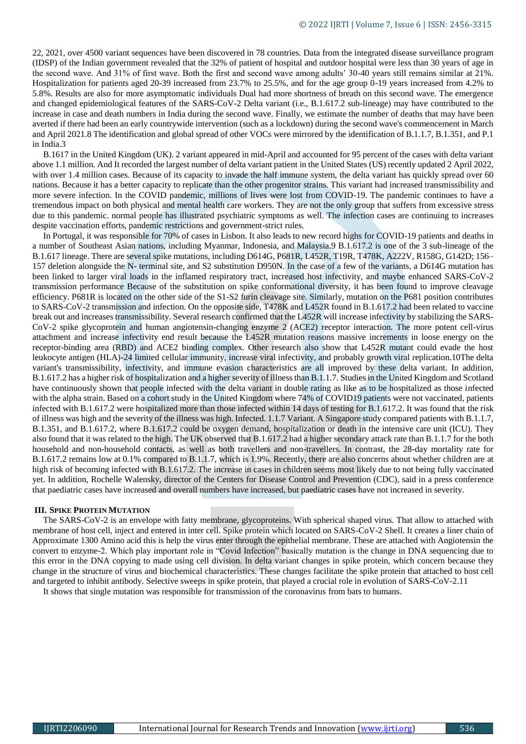22, 2021, over 4500 variant sequences have been discovered in 78 countries. Data from the integrated disease surveillance program (IDSP) of the Indian government revealed that the 32% of patient of hospital and outdoor hospital were less than 30 years of age in the second wave. And 31% of first wave. Both the first and second wave among adults' 30-40 years still remains similar at 21%. Hospitalization for patients aged 20-39 increased from 23.7% to 25.5%, and for the age group 0-19 years increased from 4.2% to 5.8%. Results are also for more asymptomatic individuals Dual had more shortness of breath on this second wave. The emergence and changed epidemiological features of the SARS-CoV-2 Delta variant (i.e., B.1.617.2 sub-lineage) may have contributed to the increase in case and death numbers in India during the second wave. Finally, we estimate the number of deaths that may have been averted if there had been an early countrywide intervention (such as a lockdown) during the second wave's commencement in March and April 2021.8 The identification and global spread of other VOCs were mirrored by the identification of B.1.1.7, B.1.351, and P.1 in India.3

 B.1617 in the United Kingdom (UK). 2 variant appeared in mid-April and accounted for 95 percent of the cases with delta variant above 1.1 million. And It recorded the largest number of delta variant patient in the United States (US) recently updated 2 April 2022, with over 1.4 million cases. Because of its capacity to invade the half immune system, the delta variant has quickly spread over 60 nations. Because it has a better capacity to replicate than the other progenitor strains. This variant had increased transmissibility and more severe infection. In the COVID pandemic, millions of lives were lost from COVID-19. The pandemic continues to have a tremendous impact on both physical and mental health care workers. They are not the only group that suffers from excessive stress due to this pandemic. normal people has illustrated psychiatric symptoms as well. The infection cases are continuing to increases despite vaccination efforts, pandemic restrictions and government-strict rules.

 In Portugal, it was responsible for 70% of cases in Lisbon. It also leads to new record highs for COVID-19 patients and deaths in a number of Southeast Asian nations, including Myanmar, Indonesia, and Malaysia.9 B.1.617.2 is one of the 3 sub-lineage of the B.1.617 lineage. There are several spike mutations, including D614G, P681R, L452R, T19R, T478K, A222V, R158G, G142D; 156– 157 deletion alongside the N- terminal site, and S2 substitution D950N. In the case of a few of the variants, a D614G mutation has been linked to larger viral loads in the inflamed respiratory tract, increased host infectivity, and maybe enhanced SARS-CoV-2 transmission performance Because of the substitution on spike conformational diversity, it has been found to improve cleavage efficiency. P681R is located on the other side of the S1-S2 furin cleavage site. Similarly, mutation on the P681 position contributes to SARS-CoV-2 transmission and infection. On the opposite side, T478K and L452R found in B.1.617.2 had been related to vaccine break out and increases transmissibility. Several research confirmed that the L452R will increase infectivity by stabilizing the SARS-CoV-2 spike glycoprotein and human angiotensin-changing enzyme 2 (ACE2) receptor interaction. The more potent cell-virus attachment and increase infectivity end result because the L452R mutation reasons massive increments in loose energy on the receptor-binding area (RBD) and ACE2 binding complex. Other research also show that L452R mutant could evade the host leukocyte antigen (HLA)-24 limited cellular immunity, increase viral infectivity, and probably growth viral replication.10The delta variant's transmissibility, infectivity, and immune evasion characteristics are all improved by these delta variant. In addition, B.1.617.2 has a higher risk of hospitalization and a higher severity of illness than B.1.1.7. Studies in the United Kingdom and Scotland have continuously shown that people infected with the delta variant in double rating as like as to be hospitalized as those infected with the alpha strain. Based on a cohort study in the United Kingdom where 74% of COVID19 patients were not vaccinated, patients infected with B.1.617.2 were hospitalized more than those infected within 14 days of testing for B.1.617.2. It was found that the risk of illness was high and the severity of the illness was high. Infected. 1.1.7 Variant. A Singapore study compared patients with B.1.1.7, B.1.351, and B.1.617.2, where B.1.617.2 could be oxygen demand, hospitalization or death in the intensive care unit (ICU). They also found that it was related to the high. The UK observed that B.1.617.2 had a higher secondary attack rate than B.1.1.7 for the both household and non-household contacts, as well as both travellers and non-travellers. In contrast, the 28-day mortality rate for B.1.617.2 remains low at 0.1% compared to B.1.1.7, which is 1.9%. Recently, there are also concerns about whether children are at high risk of becoming infected with B.1.617.2. The increase in cases in children seems most likely due to not being fully vaccinated yet. In addition, Rochelle Walensky, director of the Centers for Disease Control and Prevention (CDC), said in a press conference that paediatric cases have increased and overall numbers have increased, but paediatric cases have not increased in severity.

#### **III. SPIKE PROTEIN MUTATION**

 The SARS-CoV-2 is an envelope with fatty membrane, glycoproteins. With spherical shaped virus. That allow to attached with membrane of host cell, inject and entered in inter cell. Spike protein which located on SARS-CoV-2 Shell. It creates a liner chain of Approximate 1300 Amino acid this is help the virus enter through the epithelial membrane. These are attached with Angiotensin the convert to enzyme-2. Which play important role in "Covid Infection" basically mutation is the change in DNA sequencing due to this error in the DNA copying to made using cell division. In delta variant changes in spike protein, which concern because they change in the structure of virus and biochemical characteristics. These changes facilitate the spike protein that attached to host cell and targeted to inhibit antibody. Selective sweeps in spike protein, that played a crucial role in evolution of SARS-CoV-2.11

It shows that single mutation was responsible for transmission of the coronavirus from bats to humans.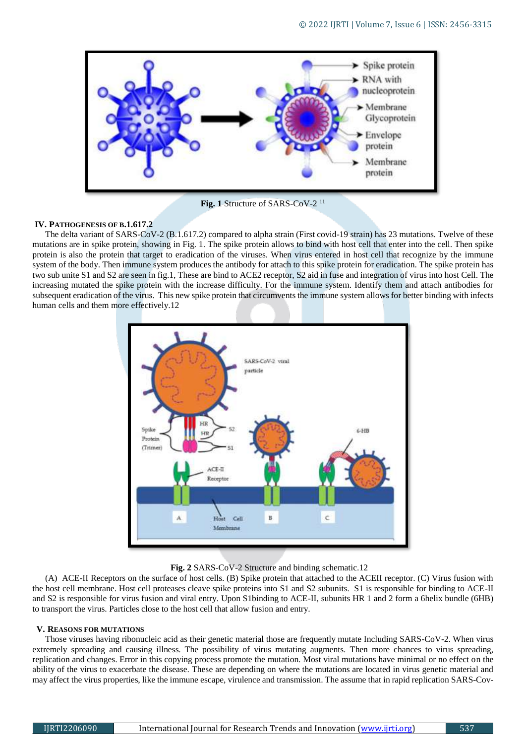

**Fig. 1** Structure of SARS-CoV-2 <sup>11</sup>

## **IV. PATHOGENESIS OF B.1.617.2**

The delta variant of SARS-CoV-2 (B.1.617.2) compared to alpha strain (First covid-19 strain) has 23 mutations. Twelve of these mutations are in spike protein, showing in Fig. 1. The spike protein allows to bind with host cell that enter into the cell. Then spike protein is also the protein that target to eradication of the viruses. When virus entered in host cell that recognize by the immune system of the body. Then immune system produces the antibody for attach to this spike protein for eradication. The spike protein has two sub unite S1 and S2 are seen in fig.1, These are bind to ACE2 receptor, S2 aid in fuse and integration of virus into host Cell. The increasing mutated the spike protein with the increase difficulty. For the immune system. Identify them and attach antibodies for subsequent eradication of the virus. This new spike protein that circumvents the immune system allows for better binding with infects human cells and them more effectively.12



**Fig. 2** SARS-CoV-2 Structure and binding schematic.12

(A) ACE-II Receptors on the surface of host cells. (B) Spike protein that attached to the ACEII receptor. (C) Virus fusion with the host cell membrane. Host cell proteases cleave spike proteins into S1 and S2 subunits. S1 is responsible for binding to ACE-II and S2 is responsible for virus fusion and viral entry. Upon S1binding to ACE-II, subunits HR 1 and 2 form a 6helix bundle (6HB) to transport the virus. Particles close to the host cell that allow fusion and entry.

## **V. REASONS FOR MUTATIONS**

Those viruses having ribonucleic acid as their genetic material those are frequently mutate Including SARS-CoV-2. When virus extremely spreading and causing illness. The possibility of virus mutating augments. Then more chances to virus spreading, replication and changes. Error in this copying process promote the mutation. Most viral mutations have minimal or no effect on the ability of the virus to exacerbate the disease. These are depending on where the mutations are located in virus genetic material and may affect the virus properties, like the immune escape, virulence and transmission. The assume that in rapid replication SARS-Cov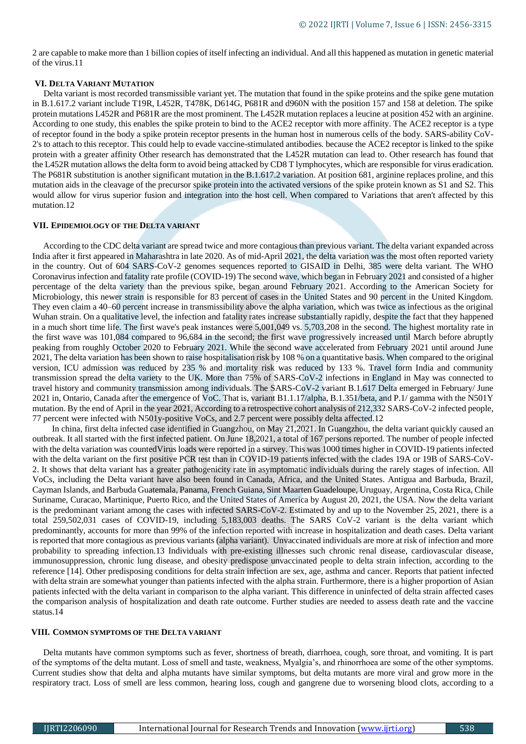2 are capable to make more than 1 billion copies of itself infecting an individual. And all this happened as mutation in genetic material of the virus.11

## **VI. DELTA VARIANT MUTATION**

Delta variant is most recorded transmissible variant yet. The mutation that found in the spike proteins and the spike gene mutation in B.1.617.2 variant include T19R, L452R, T478K, D614G, P681R and d960N with the position 157 and 158 at deletion. The spike protein mutations L452R and P681R are the most prominent. The L452R mutation replaces a leucine at position 452 with an arginine. According to one study, this enables the spike protein to bind to the ACE2 receptor with more affinity. The ACE2 receptor is a type of receptor found in the body a spike protein receptor presents in the human host in numerous cells of the body. SARS-ability CoV-2's to attach to this receptor. This could help to evade vaccine-stimulated antibodies. because the ACE2 receptor is linked to the spike protein with a greater affinity Other research has demonstrated that the L452R mutation can lead to. Other research has found that the L452R mutation allows the delta form to avoid being attacked by CD8 T lymphocytes, which are responsible for virus eradication. The P681R substitution is another significant mutation in the B.1.617.2 variation. At position 681, arginine replaces proline, and this mutation aids in the cleavage of the precursor spike protein into the activated versions of the spike protein known as S1 and S2. This would allow for virus superior fusion and integration into the host cell. When compared to Variations that aren't affected by this mutation.12

## **VII. EPIDEMIOLOGY OF THE DELTA VARIANT**

 According to the CDC delta variant are spread twice and more contagious than previous variant. The delta variant expanded across India after it first appeared in Maharashtra in late 2020. As of mid-April 2021, the delta variation was the most often reported variety in the country. Out of 604 SARS-CoV-2 genomes sequences reported to GISAID in Delhi, 385 were delta variant. The WHO Coronavirus infection and fatality rate profile (COVID-19) The second wave, which began in February 2021 and consisted of a higher percentage of the delta variety than the previous spike, began around February 2021. According to the American Society for Microbiology, this newer strain is responsible for 83 percent of cases in the United States and 90 percent in the United Kingdom. They even claim a 40–60 percent increase in transmissibility above the alpha variation, which was twice as infectious as the original Wuhan strain. On a qualitative level, the infection and fatality rates increase substantially rapidly, despite the fact that they happened in a much short time life. The first wave's peak instances were 5,001,049 vs. 5,703,208 in the second. The highest mortality rate in the first wave was 101,084 compared to 96,684 in the second; the first wave progressively increased until March before abruptly peaking from roughly October 2020 to February 2021. While the second wave accelerated from February 2021 until around June 2021, The delta variation has been shown to raise hospitalisation risk by 108 % on a quantitative basis. When compared to the original version, ICU admission was reduced by 235 % and mortality risk was reduced by 133 %. Travel form India and community transmission spread the delta variety to the UK. More than 75% of SARS-CoV-2 infections in England in May was connected to travel history and community transmission among individuals. The SARS-CoV-2 variant B.1.617 Delta emerged in February/ June 2021 in, Ontario, Canada after the emergence of VoC. That is, variant B1.1.17/alpha, B.1.351/beta, and P.1/ gamma with the N501Y mutation. By the end of April in the year 2021, According to a retrospective cohort analysis of 212,332 SARS-CoV-2 infected people, 77 percent were infected with N501y-positive VoCs, and 2.7 percent were possibly delta affected.12

 In china, first delta infected case identified in Guangzhou, on May 21,2021. In Guangzhou, the delta variant quickly caused an outbreak. It all started with the first infected patient. On June 18,2021, a total of 167 persons reported. The number of people infected with the delta variation was counted Virus loads were reported in a survey. This was 1000 times higher in COVID-19 patients infected with the delta variant on the first positive PCR test than in COVID-19 patients infected with the clades 19A or 19B of SARS-CoV-2. It shows that delta variant has a greater pathogenicity rate in asymptomatic individuals during the rarely stages of infection. All VoCs, including the Delta variant have also been found in Canada, Africa, and the United States. Antigua and Barbuda, Brazil, Cayman Islands, and Barbuda Guatemala, Panama, French Guiana, Sint Maarten Guadeloupe, Uruguay, Argentina, Costa Rica, Chile Suriname, Curacao, Martinique, Puerto Rico, and the United States of America by August 20, 2021, the USA. Now the delta variant is the predominant variant among the cases with infected SARS-CoV-2. Estimated by and up to the November 25, 2021, there is a total 259,502,031 cases of COVID-19, including 5,183,003 deaths. The SARS CoV-2 variant is the delta variant which predominantly, accounts for more than 99% of the infection reported with increase in hospitalization and death cases. Delta variant is reported that more contagious as previous variants (alpha variant). Unvaccinated individuals are more at risk of infection and more probability to spreading infection.13 Individuals with pre-existing illnesses such chronic renal disease, cardiovascular disease, immunosuppression, chronic lung disease, and obesity predispose unvaccinated people to delta strain infection, according to the reference [14]. Other predisposing conditions for delta strain infection are sex, age, asthma and cancer. Reports that patient infected with delta strain are somewhat younger than patients infected with the alpha strain. Furthermore, there is a higher proportion of Asian patients infected with the delta variant in comparison to the alpha variant. This difference in uninfected of delta strain affected cases the comparison analysis of hospitalization and death rate outcome. Further studies are needed to assess death rate and the vaccine status.14

# **VIII. COMMON SYMPTOMS OF THE DELTA VARIANT**

 Delta mutants have common symptoms such as fever, shortness of breath, diarrhoea, cough, sore throat, and vomiting. It is part of the symptoms of the delta mutant. Loss of smell and taste, weakness, Myalgia's, and rhinorrhoea are some of the other symptoms. Current studies show that delta and alpha mutants have similar symptoms, but delta mutants are more viral and grow more in the respiratory tract. Loss of smell are less common, hearing loss, cough and gangrene due to worsening blood clots, according to a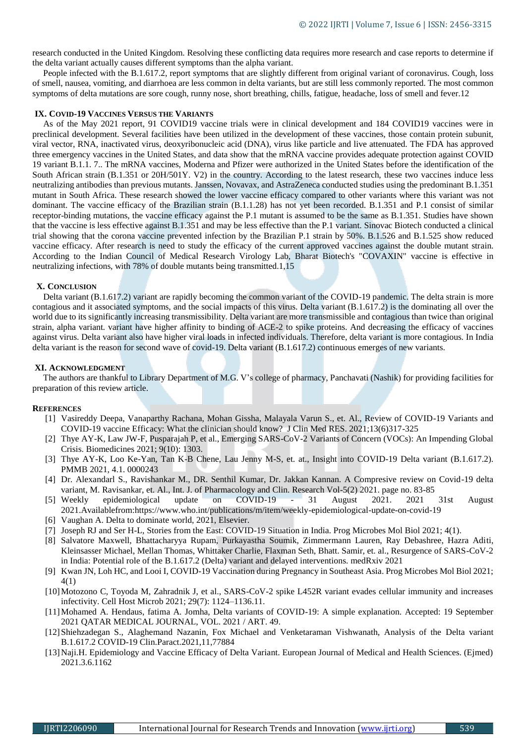research conducted in the United Kingdom. Resolving these conflicting data requires more research and case reports to determine if the delta variant actually causes different symptoms than the alpha variant.

 People infected with the B.1.617.2, report symptoms that are slightly different from original variant of coronavirus. Cough, loss of smell, nausea, vomiting, and diarrhoea are less common in delta variants, but are still less commonly reported. The most common symptoms of delta mutations are sore cough, runny nose, short breathing, chills, fatigue, headache, loss of smell and fever.12

## **IX. COVID-19 VACCINES VERSUS THE VARIANTS**

 As of the May 2021 report, 91 COVID19 vaccine trials were in clinical development and 184 COVID19 vaccines were in preclinical development. Several facilities have been utilized in the development of these vaccines, those contain protein subunit, viral vector, RNA, inactivated virus, deoxyribonucleic acid (DNA), virus like particle and live attenuated. The FDA has approved three emergency vaccines in the United States, and data show that the mRNA vaccine provides adequate protection against COVID 19 variant B.1.1. 7.. The mRNA vaccines, Moderna and Pfizer were authorized in the United States before the identification of the South African strain (B.1.351 or 20H/501Y. V2) in the country. According to the latest research, these two vaccines induce less neutralizing antibodies than previous mutants. Janssen, Novavax, and AstraZeneca conducted studies using the predominant B.1.351 mutant in South Africa. These research showed the lower vaccine efficacy compared to other variants where this variant was not dominant. The vaccine efficacy of the Brazilian strain (B.1.1.28) has not yet been recorded. B.1.351 and P.1 consist of similar receptor-binding mutations, the vaccine efficacy against the P.1 mutant is assumed to be the same as B.1.351. Studies have shown that the vaccine is less effective against B.1.351 and may be less effective than the P.1 variant. Sinovac Biotech conducted a clinical trial showing that the corona vaccine prevented infection by the Brazilian P.1 strain by 50%. B.1.526 and B.1.525 show reduced vaccine efficacy. After research is need to study the efficacy of the current approved vaccines against the double mutant strain. According to the Indian Council of Medical Research Virology Lab, Bharat Biotech's "COVAXIN" vaccine is effective in neutralizing infections, with 78% of double mutants being transmitted.1,15

#### **X. CONCLUSION**

 Delta variant (B.1.617.2) variant are rapidly becoming the common variant of the COVID-19 pandemic. The delta strain is more contagious and it associated symptoms, and the social impacts of this virus. Delta variant (B.1.617.2) is the dominating all over the world due to its significantly increasing transmissibility. Delta variant are more transmissible and contagious than twice than original strain, alpha variant. variant have higher affinity to binding of ACE-2 to spike proteins. And decreasing the efficacy of vaccines against virus. Delta variant also have higher viral loads in infected individuals. Therefore, delta variant is more contagious. In India delta variant is the reason for second wave of covid-19. Delta variant (B.1.617.2) continuous emerges of new variants.

#### **XI. ACKNOWLEDGMENT**

 The authors are thankful to Library Department of M.G. V's college of pharmacy, Panchavati (Nashik) for providing facilities for preparation of this review article.

#### **REFERENCES**

- [1] Vasireddy Deepa, Vanaparthy Rachana, Mohan Gissha, Malayala Varun S., et. Al., Review of COVID-19 Variants and COVID-19 vaccine Efficacy: What the clinician should know? J Clin Med RES. 2021;13(6)317-325
- [2] Thye AY-K, Law JW-F, Pusparajah P, et al., Emerging SARS-CoV-2 Variants of Concern (VOCs): An Impending Global Crisis. Biomedicines 2021; 9(10): 1303.
- [3] Thye AY-K, Loo Ke-Yan, Tan K-B Chene, Lau Jenny M-S, et. at., Insight into COVID-19 Delta variant (B.1.617.2). PMMB 2021, 4.1. 0000243
- [4] Dr. Alexandarl S., Ravishankar M., DR. Senthil Kumar, Dr. Jakkan Kannan. A Compresive review on Covid-19 delta variant, M. Ravisankar, et. Al., Int. J. of Pharmacology and Clin. Research Vol-5(2) 2021. page no. 83-85
- [5] Weekly epidemiological update on COVID-19 31 August 2021. 2021 31st August 2021.Availablefrom:https://www.who.int/publications/m/item/weekly-epidemiological-update-on-covid-19
- [6] Vaughan A. Delta to dominate world, 2021, Elsevier.
- [7] Joseph RJ and Ser H-L, Stories from the East: COVID-19 Situation in India. Prog Microbes Mol Biol 2021; 4(1).
- [8] Salvatore Maxwell, Bhattacharyya Rupam, Purkayastha Soumik, Zimmermann Lauren, Ray Debashree, Hazra Aditi, Kleinsasser Michael, Mellan Thomas, Whittaker Charlie, Flaxman Seth, Bhatt. Samir, et. al., Resurgence of SARS-CoV-2 in India: Potential role of the B.1.617.2 (Delta) variant and delayed interventions. medRxiv 2021
- [9] Kwan JN, Loh HC, and Looi I, COVID-19 Vaccination during Pregnancy in Southeast Asia. Prog Microbes Mol Biol 2021; 4(1)
- [10]Motozono C, Toyoda M, Zahradnik J, et al., SARS-CoV-2 spike L452R variant evades cellular immunity and increases infectivity. Cell Host Microb 2021; 29(7): 1124–1136.11.
- [11]Mohamed A. Hendaus, fatima A. Jomha, Delta variants of COVID-19: A simple explanation. Accepted: 19 September 2021 QATAR MEDICAL JOURNAL, VOL. 2021 / ART. 49.
- [12]Shiehzadegan S., Alaghemand Nazanin, Fox Michael and Venketaraman Vishwanath, Analysis of the Delta variant B.1.617.2 COVID-19 Clin.Paract.2021,11,77884
- [13]Naji.H. Epidemiology and Vaccine Efficacy of Delta Variant. European Journal of Medical and Health Sciences. (Ejmed) 2021.3.6.1162